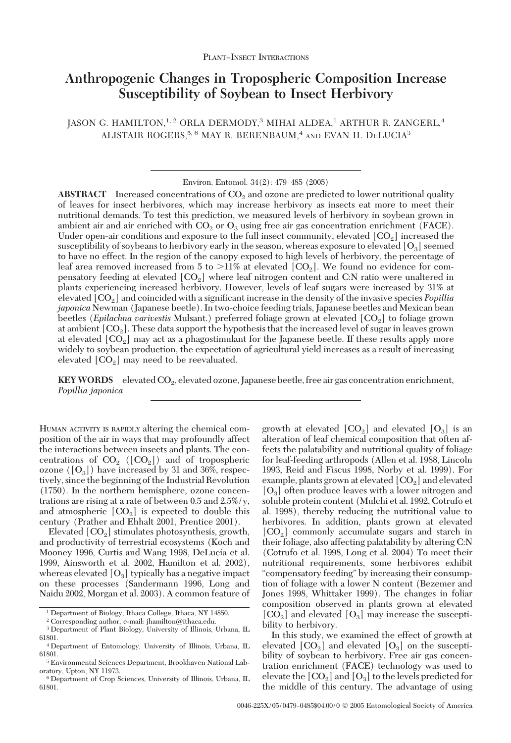# **Anthropogenic Changes in Tropospheric Composition Increase Susceptibility of Soybean to Insect Herbivory**

JASON G. HAMILTON,<sup>1, 2</sup> ORLA DERMODY,<sup>3</sup> MIHAI ALDEA,<sup>1</sup> ARTHUR R. ZANGERL,<sup>4</sup> ALISTAIR ROGERS,  $5, 6$  MAY R. BERENBAUM,  $4$  and EVAN H. DELUCIA<sup>3</sup>

Environ. Entomol. 34(2): 479-485 (2005)

**ABSTRACT** Increased concentrations of  $CO<sub>2</sub>$  and ozone are predicted to lower nutritional quality of leaves for insect herbivores, which may increase herbivory as insects eat more to meet their nutritional demands. To test this prediction, we measured levels of herbivory in soybean grown in ambient air and air enriched with  $CO<sub>2</sub>$  or  $O<sub>3</sub>$  using free air gas concentration enrichment (FACE). Under open-air conditions and exposure to the full insect community, elevated  $[CO<sub>2</sub>]$  increased the susceptibility of soybeans to herbivory early in the season, whereas exposure to elevated  $[O_3]$  seemed to have no effect. In the region of the canopy exposed to high levels of herbivory, the percentage of leaf area removed increased from 5 to  $>11\%$  at elevated [CO<sub>2</sub>]. We found no evidence for compensatory feeding at elevated  $[CO_2]$  where leaf nitrogen content and C:N ratio were unaltered in plants experiencing increased herbivory. However, levels of leaf sugars were increased by 31% at elevated [CO<sub>2</sub>] and coincided with a significant increase in the density of the invasive species *Popillia japonica* Newman (Japanese beetle). In two-choice feeding trials, Japanese beetles and Mexican bean beetles (*Epilachna varivestis* Mulsant.) preferred foliage grown at elevated [CO2] to foliage grown at ambient  $[CO_2]$ . These data support the hypothesis that the increased level of sugar in leaves grown at elevated  $[CO<sub>2</sub>]$  may act as a phagostimulant for the Japanese beetle. If these results apply more widely to soybean production, the expectation of agricultural yield increases as a result of increasing elevated  $[CO<sub>2</sub>]$  may need to be reevaluated.

**KEY WORDS** elevated CO<sub>2</sub>, elevated ozone, Japanese beetle, free air gas concentration enrichment, *Popillia japonica*

HUMAN ACTIVITY IS RAPIDLY altering the chemical composition of the air in ways that may profoundly affect the interactions between insects and plants. The concentrations of  $CO<sub>2</sub>$  ([CO<sub>2</sub>]) and of tropospheric ozone ( $[O_3]$ ) have increased by 31 and 36%, respectively, since the beginning of the Industrial Revolution (1750). In the northern hemisphere, ozone concentrations are rising at a rate of between 0.5 and 2.5%/y, and atmospheric  $[CO<sub>2</sub>]$  is expected to double this century (Prather and Ehhalt 2001, Prentice 2001).

Elevated  $[CO<sub>2</sub>]$  stimulates photosynthesis, growth, and productivity of terrestrial ecosystems (Koch and Mooney 1996, Curtis and Wang 1998, DeLucia et al. 1999, Ainsworth et al. 2002, Hamilton et al. 2002), whereas elevated  $[O_3]$  typically has a negative impact on these processes (Sandermann 1996, Long and Naidu 2002, Morgan et al. 2003). A common feature of growth at elevated  $[CO<sub>2</sub>]$  and elevated  $[O<sub>3</sub>]$  is an alteration of leaf chemical composition that often affects the palatability and nutritional quality of foliage for leaf-feeding arthropods (Allen et al. 1988, Lincoln 1993, Reid and Fiscus 1998, Norby et al. 1999). For example, plants grown at elevated  $[CO<sub>2</sub>]$  and elevated  $[O_3]$  often produce leaves with a lower nitrogen and soluble protein content (Mulchi et al. 1992, Cotrufo et al. 1998), thereby reducing the nutritional value to herbivores. In addition, plants grown at elevated  $[CO<sub>2</sub>]$  commonly accumulate sugars and starch in their foliage, also affecting palatability by altering C:N (Cotrufo et al. 1998, Long et al. 2004) To meet their nutritional requirements, some herbivores exhibit "compensatory feeding" by increasing their consumption of foliage with a lower N content (Bezemer and Jones 1998, Whittaker 1999). The changes in foliar composition observed in plants grown at elevated  $[CO<sub>2</sub>]$  and elevated  $[O<sub>3</sub>]$  may increase the susceptibility to herbivory.

In this study, we examined the effect of growth at elevated  $[CO<sub>2</sub>]$  and elevated  $[O<sub>3</sub>]$  on the susceptibility of soybean to herbivory. Free air gas concentration enrichment (FACE) technology was used to elevate the  $[CO<sub>2</sub>]$  and  $[O<sub>3</sub>]$  to the levels predicted for the middle of this century. The advantage of using

<sup>1</sup> Department of Biology, Ithaca College, Ithaca, NY 14850.

<sup>2</sup> Corresponding author, e-mail: jhamilton@ithaca.edu.

<sup>3</sup> Department of Plant Biology, University of Illinois, Urbana, IL 61801.

<sup>4</sup> Department of Entomology, University of Illinois, Urbana, IL 61801.

<sup>5</sup> Environmental Sciences Department, Brookhaven National Laboratory, Upton, NY 11973.

<sup>6</sup> Department of Crop Sciences, University of Illinois, Urbana, IL 61801.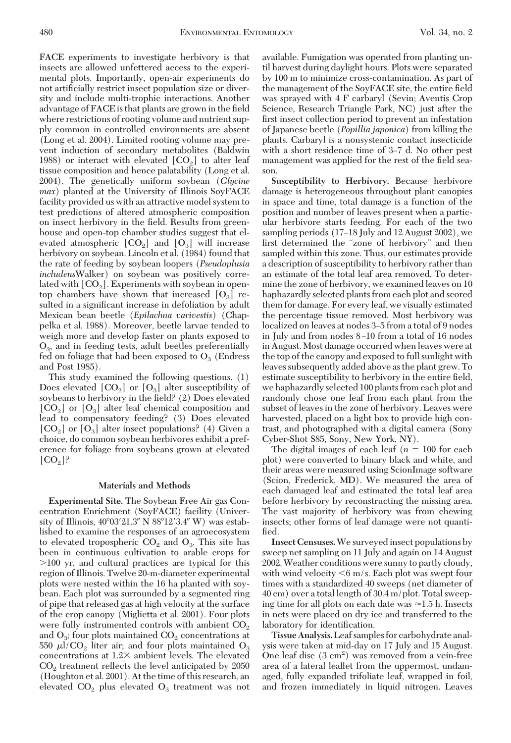FACE experiments to investigate herbivory is that insects are allowed unfettered access to the experimental plots. Importantly, open-air experiments do not artificially restrict insect population size or diversity and include multi-trophic interactions. Another advantage of FACE is that plants are grown in the field where restrictions of rooting volume and nutrient supply common in controlled environments are absent (Long et al. 2004). Limited rooting volume may prevent induction of secondary metabolites (Baldwin 1988) or interact with elevated  $[CO_{\circ}]$  to alter leaf tissue composition and hence palatability (Long et al. 2004). The genetically uniform soybean (*Glycine max*) planted at the University of Illinois SoyFACE facility provided us with an attractive model system to test predictions of altered atmospheric composition on insect herbivory in the field. Results from greenhouse and open-top chamber studies suggest that elevated atmospheric  $[CO_2]$  and  $[O_3]$  will increase herbivory on soybean. Lincoln et al. (1984) found that the rate of feeding by soybean loopers (*Pseudoplusia includens*Walker) on soybean was positively correlated with  $[CO_{2}]$ . Experiments with soybean in opentop chambers have shown that increased  $[O_3]$  resulted in a significant increase in defoliation by adult Mexican bean beetle (*Epilachna varivestis*) (Chappelka et al. 1988). Moreover, beetle larvae tended to weigh more and develop faster on plants exposed to  $O<sub>3</sub>$ , and in feeding tests, adult beetles preferentially fed on foliage that had been exposed to  $O_3$  (Endress and Post 1985).

This study examined the following questions. (1) Does elevated  $[CO_2]$  or  $[O_3]$  alter susceptibility of soybeans to herbivory in the field? (2) Does elevated  $[CO<sub>2</sub>]$  or  $[O<sub>3</sub>]$  alter leaf chemical composition and lead to compensatory feeding? (3) Does elevated  $[CO<sub>2</sub>]$  or  $[O<sub>3</sub>]$  alter insect populations? (4) Given a choice, do common soybean herbivores exhibit a preference for foliage from soybeans grown at elevated  $[CO<sub>2</sub>]$ ?

## **Materials and Methods**

**Experimental Site.** The Soybean Free Air gas Concentration Enrichment (SoyFACE) facility (University of Illinois, 40°03′21.3″ N 88°12′3.4″ W) was established to examine the responses of an agroecosystem to elevated tropospheric  $CO<sub>2</sub>$  and  $O<sub>3</sub>$ . This site has been in continuous cultivation to arable crops for 100 yr, and cultural practices are typical for this region of Illinois. Twelve 20-m-diameter experimental plots were nested within the 16 ha planted with soybean. Each plot was surrounded by a segmented ring of pipe that released gas at high velocity at the surface of the crop canopy (Miglietta et al. 2001). Four plots were fully instrumented controls with ambient  $CO<sub>2</sub>$ and  $O_3$ ; four plots maintained  $CO_2$  concentrations at 550  $\mu$ l/CO<sub>2</sub> liter air; and four plots maintained O<sub>3</sub> concentrations at  $1.2\times$  ambient levels. The elevated  $CO<sub>2</sub>$  treatment reflects the level anticipated by 2050 (Houghton et al. 2001). At the time of this research, an elevated  $CO<sub>2</sub>$  plus elevated  $O<sub>3</sub>$  treatment was not available. Fumigation was operated from planting until harvest during daylight hours. Plots were separated by 100 m to minimize cross-contamination. As part of the management of the SoyFACE site, the entire field was sprayed with 4 F carbaryl (Sevin; Aventis Crop Science, Research Triangle Park, NC) just after the first insect collection period to prevent an infestation of Japanese beetle (*Popillia japonica*) from killing the plants. Carbaryl is a nonsystemic contact insecticide with a short residence time of 3–7 d. No other pest management was applied for the rest of the field season.

**Susceptibility to Herbivory.** Because herbivore damage is heterogeneous throughout plant canopies in space and time, total damage is a function of the position and number of leaves present when a particular herbivore starts feeding. For each of the two sampling periods (17-18 July and 12 August 2002), we first determined the "zone of herbivory" and then sampled within this zone. Thus, our estimates provide a description of susceptibility to herbivory rather than an estimate of the total leaf area removed. To determine the zone of herbivory, we examined leaves on 10 haphazardly selected plants from each plot and scored them for damage. For every leaf, we visually estimated the percentage tissue removed. Most herbivory was localized on leaves at nodes 3–5 from a total of 9 nodes in July and from nodes 8–10 from a total of 16 nodes in August. Most damage occurred when leaves were at the top of the canopy and exposed to full sunlight with leaves subsequently added above as the plant grew. To estimate susceptibility to herbivory in the entire field, we haphazardly selected 100 plants from each plot and randomly chose one leaf from each plant from the subset of leaves in the zone of herbivory. Leaves were harvested, placed on a light box to provide high contrast, and photographed with a digital camera (Sony Cyber-Shot S85, Sony, New York, NY).

The digital images of each leaf  $(n = 100$  for each plot) were converted to binary black and white, and their areas were measured using ScionImage software (Scion, Frederick, MD). We measured the area of each damaged leaf and estimated the total leaf area before herbivory by reconstructing the missing area. The vast majority of herbivory was from chewing insects; other forms of leaf damage were not quantified.

**Insect Censuses.**We surveyed insect populations by sweep net sampling on 11 July and again on 14 August 2002.Weather conditions were sunny to partly cloudy, with wind velocity  $< 6$  m/s. Each plot was swept four times with a standardized 40 sweeps (net diameter of 40 cm) over a total length of 30.4 m/plot. Total sweeping time for all plots on each date was  $\approx$ 1.5 h. Insects in nets were placed on dry ice and transferred to the laboratory for identification.

**Tissue Analysis.**Leaf samples for carbohydrate analysis were taken at mid-day on 17 July and 15 August. One leaf disc (3 cm2 ) was removed from a vein-free area of a lateral leaßet from the uppermost, undamaged, fully expanded trifoliate leaf, wrapped in foil, and frozen immediately in liquid nitrogen. Leaves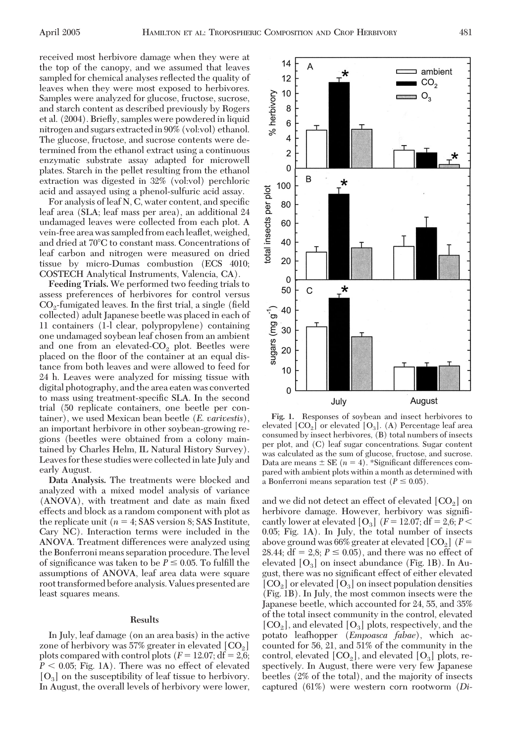received most herbivore damage when they were at the top of the canopy, and we assumed that leaves sampled for chemical analyses reßected the quality of leaves when they were most exposed to herbivores. Samples were analyzed for glucose, fructose, sucrose, and starch content as described previously by Rogers et al. (2004). Brießy, samples were powdered in liquid nitrogen and sugars extractedin 90% (vol:vol) ethanol. The glucose, fructose, and sucrose contents were determined from the ethanol extract using a continuous enzymatic substrate assay adapted for microwell plates. Starch in the pellet resulting from the ethanol extraction was digested in 32% (vol:vol) perchloric acid and assayed using a phenol-sulfuric acid assay.

For analysis of leaf N, C, water content, and specific leaf area (SLA; leaf mass per area), an additional 24 undamaged leaves were collected from each plot. A vein-free area was sampled from each leaßet, weighed, and dried at 70°C to constant mass. Concentrations of leaf carbon and nitrogen were measured on dried tissue by micro-Dumas combustion (ECS 4010; COSTECH Analytical Instruments, Valencia, CA).

**Feeding Trials.** We performed two feeding trials to assess preferences of herbivores for control versus  $CO<sub>2</sub>$ -fumigated leaves. In the first trial, a single (field collected) adult Japanese beetle was placed in each of 11 containers (1-l clear, polypropylene) containing one undamaged soybean leaf chosen from an ambient and one from an elevated- $CO<sub>2</sub>$  plot. Beetles were placed on the ßoor of the container at an equal distance from both leaves and were allowed to feed for 24 h. Leaves were analyzed for missing tissue with digital photography, and the area eaten was converted to mass using treatment-specific SLA. In the second trial (50 replicate containers, one beetle per container), we used Mexican bean beetle (*E. varivestis*), an important herbivore in other soybean-growing regions (beetles were obtained from a colony maintained by Charles Helm, IL Natural History Survey). Leaves for these studies were collected in late July and early August.

**Data Analysis.** The treatments were blocked and analyzed with a mixed model analysis of variance (ANOVA), with treatment and date as main fixed effects and block as a random component with plot as the replicate unit  $(n = 4; SAS \, version \, 8; SAS \, Institute,$ Cary NC). Interaction terms were included in the ANOVA. Treatment differences were analyzed using the Bonferroni means separation procedure. The level of significance was taken to be  $P \leq 0.05$ . To fulfill the assumptions of ANOVA, leaf area data were square root transformed before analysis. Values presented are least squares means.

# **Results**

In July, leaf damage (on an area basis) in the active zone of herbivory was 57% greater in elevated  $[CO<sub>2</sub>]$ plots compared with control plots  $(F = 12.07; df = 2.6;$  $P < 0.05$ ; Fig. 1A). There was no effect of elevated  $[O_3]$  on the susceptibility of leaf tissue to herbivory. In August, the overall levels of herbivory were lower,



**Fig. 1.** Responses of soybean and insect herbivores to elevated  $[CO_2]$  or elevated  $[O_3]$ . (A) Percentage leaf area consumed by insect herbivores, (B) total numbers of insects per plot, and (C) leaf sugar concentrations. Sugar content was calculated as the sum of glucose, fructose, and sucrose. Data are means  $\pm$  SE ( $n = 4$ ). \*Significant differences compared with ambient plots within a month as determined with a Bonferroni means separation test ( $P \leq 0.05$ ).

and we did not detect an effect of elevated  $[CO<sub>2</sub>]$  on herbivore damage. However, herbivory was signiÞcantly lower at elevated  $[O_3]$  ( $F = 12.07$ ; df = 2,6;  $P <$ 0.05; Fig. 1A). In July, the total number of insects above ground was 66% greater at elevated  $[CO_2]$  ( $F=$ 28.44;  $df = 2.8$ ;  $P \le 0.05$ ), and there was no effect of elevated  $[O_3]$  on insect abundance (Fig. 1B). In August, there was no significant effect of either elevated  $[CO_2]$  or elevated  $[O_3]$  on insect population densities (Fig. 1B). In July, the most common insects were the Japanese beetle, which accounted for 24, 55, and 35% of the total insect community in the control, elevated  $[CO<sub>2</sub>]$ , and elevated  $[O<sub>3</sub>]$  plots, respectively, and the potato leafhopper (*Empoasca fabae*), which accounted for 56, 21, and 51% of the community in the control, elevated  $[CO_2]$ , and elevated  $[O_3]$  plots, respectively. In August, there were very few Japanese beetles (2% of the total), and the majority of insects captured (61%) were western corn rootworm (*Di-*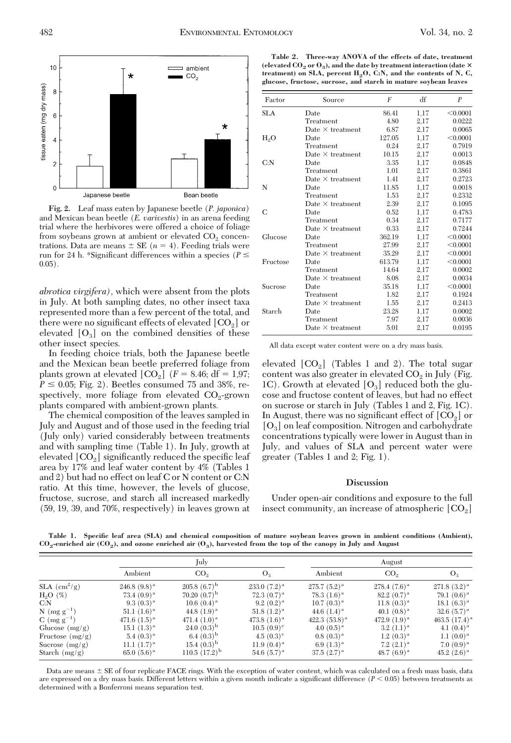

**Fig. 2.** Leaf mass eaten by Japanese beetle (*P. japonica*) and Mexican bean beetle (*E. varivestis*) in an arena feeding trial where the herbivores were offered a choice of foliage from soybeans grown at ambient or elevated  $CO<sub>2</sub>$  concentrations. Data are means  $\pm$  SE ( $n = 4$ ). Feeding trials were run for 24 h. \*Significant differences within a species ( $P \leq$  $0.05$ ).

*abrotica virgifera),* which were absent from the plots in July. At both sampling dates, no other insect taxa represented more than a few percent of the total, and there were no significant effects of elevated  $[CO<sub>2</sub>]$  or elevated  $[O_3]$  on the combined densities of these other insect species.

In feeding choice trials, both the Japanese beetle and the Mexican bean beetle preferred foliage from plants grown at elevated  $[CO_2]$  ( $F = 8.46$ ; df = 1,97;  $P \leq 0.05$ ; Fig. 2). Beetles consumed 75 and 38%, respectively, more foliage from elevated  $CO<sub>2</sub>$ -grown plants compared with ambient-grown plants.

The chemical composition of the leaves sampled in July and August and of those used in the feeding trial (July only) varied considerably between treatments and with sampling time (Table 1). In July, growth at elevated  $[CO<sub>2</sub>]$  significantly reduced the specific leaf area by 17% and leaf water content by 4% (Tables 1 and 2) but had no effect on leaf C or N content or C:N ratio. At this time, however, the levels of glucose, fructose, sucrose, and starch all increased markedly (59, 19, 39, and 70%, respectively) in leaves grown at

**Table 2. Three-way ANOVA of the effects of date, treatment** (elevated  $CO_2$  or  $O_3$ ), and the date by treatment interaction (date  $\times$ treatment) on SLA, percent H<sub>2</sub>O, C:N, and the contents of N, C, **glucose, fructose, sucrose, and starch in mature soybean leaves**

| Factor     | Source                  | $\boldsymbol{F}$ | df   | $\boldsymbol{P}$ |
|------------|-------------------------|------------------|------|------------------|
| <b>SLA</b> | Date                    | 86.41            | 1,17 | < 0.0001         |
|            | Treatment               | 4.80             | 2,17 | 0.0222           |
|            | Date $\times$ treatment | 6.87             | 2,17 | 0.0065           |
| $H_2O$     | Date                    | 127.05           | 1,17 | < 0.0001         |
|            | Treatment               | 0.24             | 2,17 | 0.7919           |
|            | Date $\times$ treatment | 10.15            | 2,17 | 0.0013           |
| C: N       | Date                    | 3.35             | 1,17 | 0.0848           |
|            | Treatment               | 1.01             | 2,17 | 0.3861           |
|            | Date $\times$ treatment | 1.41             | 2,17 | 0.2723           |
| N          | Date                    | 11.85            | 1,17 | 0.0018           |
|            | Treatment               | 1.53             | 2,17 | 0.2332           |
|            | Date $\times$ treatment | 2.39             | 2,17 | 0.1095           |
| C          | Date                    | 0.52             | 1,17 | 0.4783           |
|            | Treatment               | 0.34             | 2,17 | 0.7177           |
|            | Date $\times$ treatment | 0.33             | 2,17 | 0.7244           |
| Glucose    | Date                    | 362.19           | 1,17 | < 0.0001         |
|            | Treatment               | 27.99            | 2,17 | < 0.0001         |
|            | Date $\times$ treatment | 35.29            | 2,17 | < 0.0001         |
| Fructose   | Date                    | 613.79           | 1,17 | < 0.0001         |
|            | Treatment               | 14.64            | 2,17 | 0.0002           |
|            | Date $\times$ treatment | 8.08             | 2,17 | 0.0034           |
| Sucrose    | Date                    | 35.18            | 1,17 | < 0.0001         |
|            | Treatment               | 1.82             | 2,17 | 0.1924           |
|            | Date $\times$ treatment | 1.55             | 2,17 | 0.2413           |
| Starch     | Date                    | 23.28            | 1,17 | 0.0002           |
|            | Treatment               | 7.97             | 2,17 | 0.0036           |
|            | Date $\times$ treatment | 5.01             | 2,17 | 0.0195           |

All data except water content were on a dry mass basis.

elevated  $[CO<sub>2</sub>]$  (Tables 1 and 2). The total sugar content was also greater in elevated  $CO<sub>2</sub>$  in July (Fig. 1C). Growth at elevated  $[O_3]$  reduced both the glucose and fructose content of leaves, but had no effect on sucrose or starch in July (Tables 1 and 2, Fig. 1C). In August, there was no significant effect of  $[CO<sub>2</sub>]$  or  $[O_3]$  on leaf composition. Nitrogen and carbohydrate concentrations typically were lower in August than in July, and values of SLA and percent water were greater (Tables 1 and 2; Fig. 1).

#### **Discussion**

Under open-air conditions and exposure to the full insect community, an increase of atmospheric  $[CO<sub>2</sub>]$ 

**Table 1. Specific leaf area (SLA) and chemical composition of mature soybean leaves grown in ambient conditions (Ambient), CO2-enriched air (CO2), and ozone enriched air (O3), harvested from the top of the canopy in July and August**

|                            | July                   |                       |                     | August             |                   |                    |
|----------------------------|------------------------|-----------------------|---------------------|--------------------|-------------------|--------------------|
|                            | Ambient                | CO <sub>2</sub>       | $O_3$               | Ambient            | CO <sub>2</sub>   | $O_3$              |
| $SLA$ (cm <sup>2</sup> /g) | $246.8(9.8)^a$         | $205.8(6.7)^{b}$      | $233.0(7.2)^a$      | $275.7(5.2)^{a}$   | $278.4(7.6)^a$    | $271.8(3.2)^a$     |
| $H2O$ (%)                  | 73.4 $(0.9)^{a}$       | $70.20~(0.7)^{\rm b}$ | 72.3 $(0.7)^{a}$    | 78.3 $(1.6)^{a}$   | $82.2~(0.7)^{a}$  | 79.1 $(0.6)^{a}$   |
| C: N                       | 9.3 $(0.3)^a$          | $10.6(0.4)^{a}$       | $9.2(0.2)^a$        | $10.7(0.3)^{a}$    | $11.8(0.3)^{a}$   | $18.1(6.3)^{a}$    |
| N ( $mg g^{-1}$ )          | $51.1 \ (1.6)^{\rm a}$ | 44.8 $(1.9)^{a}$      | $51.8(1.2)^a$       | 44.6 $(1.4)^a$     | 40.1 $(0.8)^a$    | $32.6(5.7)^{a}$    |
| $C \text{ (mg g}^{-1})$    | 471.6 $(1.5)^{a}$      | 471.4 $(1.0)^a$       | 473.8 $(1.6)^{a}$   | 422.3 $(53.8)^{a}$ | 472.9 $(1.9)^{a}$ | 463.5 $(17.4)^{a}$ |
| Glucose $(mg/g)$           | $15.1 \ (1.3)^a$       | $24.0(0.3)^{b}$       | $10.5(0.9)^{\circ}$ | 4.0 $(0.5)^{a}$    | $3.2 (1.1)^a$     | 4.1 $(0.4)^a$      |
| Fructose $(mg/g)$          | $5.4(0.3)^{a}$         | 6.4 $(0.3)^{b}$       | 4.5 $(0.3)^c$       | $0.8(0.3)^{a}$     | $1.2(0.3)^{a}$    | $1.1(0.0)^a$       |
| Sucrose $(mg/g)$           | $11.1~(1.7)^{a}$       | $15.4(0.3)^{b}$       | 11.9 $(0.4)^{a}$    | 6.9 $(1.3)^{a}$    | $7.2 (2.1)^{a}$   | $7.0(0.9)^{a}$     |
| Starch $(mg/g)$            | $65.0(5.6)^{a}$        | $110.5(17.2)^{b}$     | 54.6 $(5.7)^{a}$    | $37.5(2.7)^{a}$    | 48.7 $(6.9)^{a}$  | $45.2 (2.6)^a$     |

Data are means  $\pm$  SE of four replicate FACE rings. With the exception of water content, which was calculated on a fresh mass basis, data are expressed on a dry mass basis. Different letters within a given month indicate a significant difference  $(P < 0.05)$  between treatments as determined with a Bonferroni means separation test.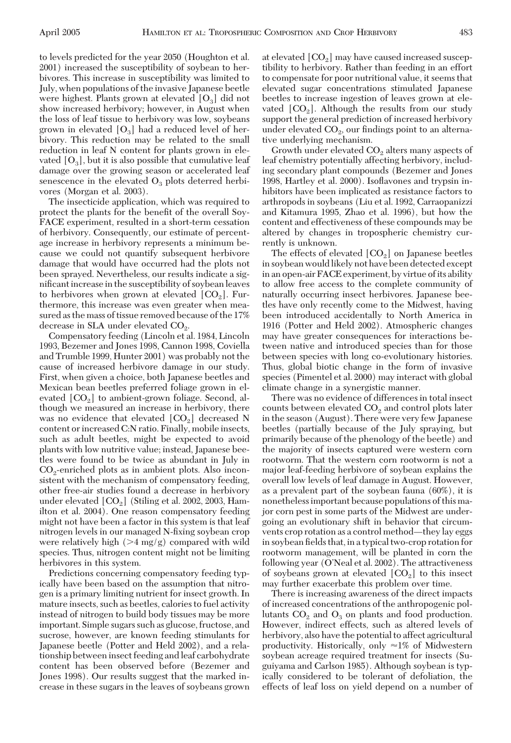to levels predicted for the year 2050 (Houghton et al. 2001) increased the susceptibility of soybean to herbivores. This increase in susceptibility was limited to July, when populations of the invasive Japanese beetle were highest. Plants grown at elevated  $[O_3]$  did not show increased herbivory; however, in August when the loss of leaf tissue to herbivory was low, soybeans grown in elevated  $[O_3]$  had a reduced level of herbivory. This reduction may be related to the small reduction in leaf N content for plants grown in elevated  $[O_3]$ , but it is also possible that cumulative leaf damage over the growing season or accelerated leaf senescence in the elevated  $O_3$  plots deterred herbivores (Morgan et al. 2003).

The insecticide application, which was required to protect the plants for the benefit of the overall Soy-FACE experiment, resulted in a short-term cessation of herbivory. Consequently, our estimate of percentage increase in herbivory represents a minimum because we could not quantify subsequent herbivore damage that would have occurred had the plots not been sprayed. Nevertheless, our results indicate a significant increase in the susceptibility of soybean leaves to herbivores when grown at elevated  $[CO<sub>2</sub>]$ . Furthermore, this increase was even greater when measured as the mass of tissue removed because of the 17% decrease in SLA under elevated  $CO<sub>2</sub>$ .

Compensatory feeding (Lincoln et al. 1984, Lincoln 1993, Bezemer and Jones 1998, Cannon 1998, Coviella and Trumble 1999, Hunter 2001) was probably not the cause of increased herbivore damage in our study. First, when given a choice, both Japanese beetles and Mexican bean beetles preferred foliage grown in elevated  $[CO<sub>2</sub>]$  to ambient-grown foliage. Second, although we measured an increase in herbivory, there was no evidence that elevated  $[CO<sub>2</sub>]$  decreased N content or increased C:N ratio. Finally, mobile insects, such as adult beetles, might be expected to avoid plants with low nutritive value; instead, Japanese beetles were found to be twice as abundant in July in  $CO<sub>2</sub>$ -enriched plots as in ambient plots. Also inconsistent with the mechanism of compensatory feeding, other free-air studies found a decrease in herbivory under elevated  $[CO<sub>2</sub>]$  (Stiling et al. 2002, 2003, Hamilton et al. 2004). One reason compensatory feeding might not have been a factor in this system is that leaf nitrogen levels in our managed N-fixing soybean crop were relatively high  $(>4 \text{ mg/g})$  compared with wild species. Thus, nitrogen content might not be limiting herbivores in this system.

Predictions concerning compensatory feeding typically have been based on the assumption that nitrogen is a primary limiting nutrient for insect growth. In mature insects, such as beetles, calories to fuel activity instead of nitrogen to build body tissues may be more important. Simple sugars such as glucose, fructose, and sucrose, however, are known feeding stimulants for Japanese beetle (Potter and Held 2002), and a relationship between insect feeding and leaf carbohydrate content has been observed before (Bezemer and Jones 1998). Our results suggest that the marked increase in these sugars in the leaves of soybeans grown at elevated  $[CO<sub>2</sub>]$  may have caused increased susceptibility to herbivory. Rather than feeding in an effort to compensate for poor nutritional value, it seems that elevated sugar concentrations stimulated Japanese beetles to increase ingestion of leaves grown at elevated  $[CO<sub>2</sub>]$ . Although the results from our study support the general prediction of increased herbivory under elevated  $CO<sub>2</sub>$ , our findings point to an alternative underlying mechanism.

Growth under elevated  $CO<sub>2</sub>$  alters many aspects of leaf chemistry potentially affecting herbivory, including secondary plant compounds (Bezemer and Jones 1998, Hartley et al. 2000). Isoßavones and trypsin inhibitors have been implicated as resistance factors to arthropods in soybeans (Liu et al. 1992, Carraopanizzi and Kitamura 1995, Zhao et al. 1996), but how the content and effectiveness of these compounds may be altered by changes in tropospheric chemistry currently is unknown.

The effects of elevated  $[CO<sub>2</sub>]$  on Japanese beetles in soybean would likely not have been detected except in an open-air FACE experiment, by virtue of its ability to allow free access to the complete community of naturally occurring insect herbivores. Japanese beetles have only recently come to the Midwest, having been introduced accidentally to North America in 1916 (Potter and Held 2002). Atmospheric changes may have greater consequences for interactions between native and introduced species than for those between species with long co-evolutionary histories. Thus, global biotic change in the form of invasive species (Pimentel et al. 2000) may interact with global climate change in a synergistic manner.

There was no evidence of differences in total insect counts between elevated  $CO<sub>2</sub>$  and control plots later in the season (August). There were very few Japanese beetles (partially because of the July spraying, but primarily because of the phenology of the beetle) and the majority of insects captured were western corn rootworm. That the western corn rootworm is not a major leaf-feeding herbivore of soybean explains the overall low levels of leaf damage in August. However, as a prevalent part of the soybean fauna (60%), it is nonetheless important because populations of this major corn pest in some parts of the Midwest are undergoing an evolutionary shift in behavior that circumvents crop rotation as a control method—they lay eggs in soybean fields that, in a typical two-crop rotation for rootworm management, will be planted in corn the following year (O'Neal et al. 2002). The attractiveness of soybeans grown at elevated  $[CO<sub>2</sub>]$  to this insect may further exacerbate this problem over time.

There is increasing awareness of the direct impacts of increased concentrations of the anthropogenic pollutants  $CO<sub>2</sub>$  and  $O<sub>3</sub>$  on plants and food production. However, indirect effects, such as altered levels of herbivory, also have the potential to affect agricultural productivity. Historically, only  $\approx$ 1% of Midwestern soybean acreage required treatment for insects (Suguiyama and Carlson 1985). Although soybean is typically considered to be tolerant of defoliation, the effects of leaf loss on yield depend on a number of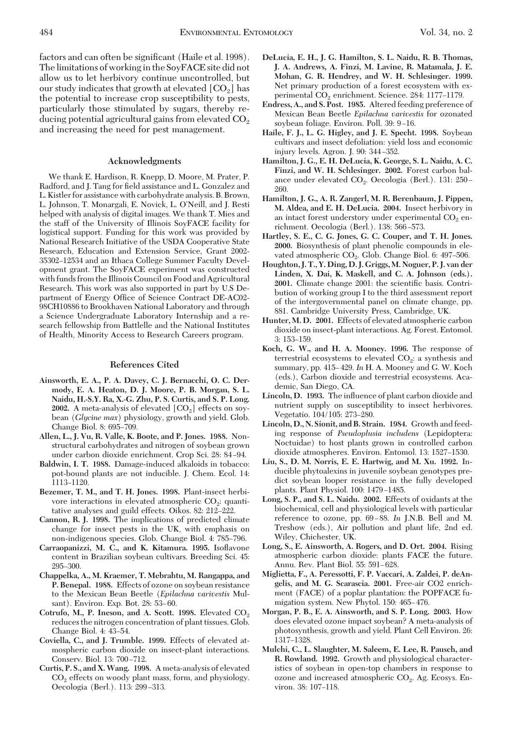factors and can often be significant (Haile et al. 1998). The limitations of working in the SoyFACE site did not allow us to let herbivory continue uncontrolled, but our study indicates that growth at elevated  $[CO<sub>2</sub>]$  has the potential to increase crop susceptibility to pests, particularly those stimulated by sugars, thereby reducing potential agricultural gains from elevated  $CO<sub>2</sub>$ and increasing the need for pest management.

# **Acknowledgments**

We thank E. Hardison, R. Knepp, D. Moore, M. Prater, P. Radford, and J. Tang for field assistance and L. Gonzalez and L. Kistler for assistance with carbohydrate analysis. B. Brown, L. Johnson, T. Monargali, E. Novick, L. O'Neill, and J. Resti helped with analysis of digital images. We thank T. Mies and the staff of the University of Illinois SoyFACE facility for logistical support. Funding for this work was provided by National Research Initiative of the USDA Cooperative State Research, Education and Extension Service, Grant 2002- 35302-12534 and an Ithaca College Summer Faculty Development grant. The SoyFACE experiment was constructed with funds from the Illinois Council on Food and Agricultural Research. This work was also supported in part by U.S Department of Energy Office of Science Contract DE-AC02-98CH10886 to Brookhaven National Laboratory and through a Science Undergraduate Laboratory Internship and a research fellowship from Battlelle and the National Institutes of Health, Minority Access to Research Careers program.

## **References Cited**

- **Ainsworth, E. A., P. A. Davey, C. J. Bernacchi, O. C. Dermody, E. A. Heaton, D. J. Moore, P. B. Morgan, S. L. Naidu, H.-S.Y. Ra, X.-G. Zhu, P. S. Curtis, and S. P. Long. 2002.** A meta-analysis of elevated  $[CO<sub>2</sub>]$  effects on soybean (*Glycine max*) physiology, growth and yield. Glob. Change Biol. 8: 695-709.
- **Allen, L., J. Vu, R. Valle, K. Boote, and P. Jones. 1988.** Nonstructural carbohydrates and nitrogen of soybean grown under carbon dioxide enrichment. Crop Sci. 28: 84–94.
- **Baldwin, I. T. 1988.** Damage-induced alkaloids in tobacco: pot-bound plants are not inducible. J. Chem. Ecol. 14: 1113-1120.
- **Bezemer, T. M., and T. H. Jones. 1998.** Plant-insect herbivore interactions in elevated atmospheric  $CO<sub>2</sub>$ : quantitative analyses and guild effects. Oikos. 82: 212–222.
- **Cannon, R. J. 1998.** The implications of predicted climate change for insect pests in the UK, with emphasis on non-indigenous species. Glob. Change Biol. 4: 785-796.
- **Carraopanizzi, M. C., and K. Kitamura. 1995.** Isoßavone content in Brazilian soybean cultivars. Breeding Sci. 45: 295–300.
- **Chappelka, A., M. Kraemer, T. Mebrahtu, M. Rangappa, and P. Benepal. 1988.** Effects of ozone on soybean resistance to the Mexican Bean Beetle (*Epilachna varivestis* Mulsant). Environ. Exp. Bot. 28: 53–60.
- Cotrufo, M., P. Ineson, and A. Scott. 1998. Elevated CO<sub>2</sub> reduces the nitrogen concentration of plant tissues. Glob. Change Biol. 4: 43-54.
- **Coviella, C., and J. Trumble. 1999.** Effects of elevated atmospheric carbon dioxide on insect-plant interactions. Conserv. Biol. 13: 700-712.
- **Curtis, P. S., and X.Wang. 1998.** A meta-analysis of elevated  $CO<sub>2</sub>$  effects on woody plant mass, form, and physiology. Oecologia (Berl.). 113: 299–313.
- **DeLucia, E. H., J. G. Hamilton, S. L. Naidu, R. B. Thomas, J. A. Andrews, A. Finzi, M. Lavine, R. Matamala, J. E. Mohan, G. R. Hendrey, and W. H. Schlesinger. 1999.** Net primary production of a forest ecosystem with experimental  $CO<sub>2</sub>$  enrichment. Science. 284: 1177-1179.
- **Endress, A., and S. Post. 1985.** Altered feeding preference of Mexican Bean Beetle *Epilachna varivestis* for ozonated soybean foliage. Environ. Poll. 39: 9-16.
- **Haile, F. J., L. G. Higley, and J. E. Specht. 1998.** Soybean cultivars and insect defoliation: yield loss and economic injury levels. Agron. J. 90: 344-352.
- **Hamilton, J. G., E. H. DeLucia, K. George, S. L. Naidu, A. C. Finzi, and W. H. Schlesinger. 2002.** Forest carbon balance under elevated  $CO<sub>2</sub>$ . Oecologia (Berl.). 131: 250 – 260.
- **Hamilton, J. G., A. R. Zangerl, M. R. Berenbaum, J. Pippen, M. Aldea, and E. H. DeLucia. 2004.** Insect herbivory in an intact forest understory under experimental  $CO<sub>2</sub>$  enrichment. Oecologia (Berl.). 138: 566-573.
- **Hartley, S. E., C. G. Jones, G. C. Couper, and T. H. Jones. 2000.** Biosynthesis of plant phenolic compounds in elevated atmospheric CO<sub>2</sub>. Glob. Change Biol. 6: 497-506.
- **Houghton, J. T., Y. Ding, D. J. Griggs, M. Noguer, P. J. van der Linden, X. Dai, K. Maskell, and C. A. Johnson (eds.).** 2001. Climate change 2001: the scientific basis. Contribution of working group I to the third assessment report of the intergovernmental panel on climate change, pp. 881. Cambridge University Press, Cambridge, UK.
- **Hunter, M. D. 2001.** Effects of elevated atmospheric carbon dioxide on insect-plant interactions. Ag. Forest. Entomol. 3: 153-159.
- **Koch, G. W., and H. A. Mooney. 1996.** The response of terrestrial ecosystems to elevated  $CO<sub>2</sub>$ : a synthesis and summary, pp. 415–429. *In* H. A. Mooney and G. W. Koch (eds.), Carbon dioxide and terrestrial ecosystems. Academic, San Diego, CA.
- **Lincoln, D. 1993.** The inßuence of plant carbon dioxide and nutrient supply on susceptibility to insect herbivores. Vegetatio. 104/105: 273-280.
- **Lincoln, D., N. Sionit, and B. Strain. 1984.** Growth and feeding response of *Pseudoplusia includens* (Lepidoptera: Noctuidae) to host plants grown in controlled carbon dioxide atmospheres. Environ. Entomol. 13: 1527-1530.
- **Liu, S., D. M. Norris, E. E. Hartwig, and M. Xu. 1992.** Inducible phytoalexins in juvenile soybean genotypes predict soybean looper resistance in the fully developed plants. Plant Physiol. 100: 1479-1485.
- **Long, S. P., and S. L. Naidu. 2002.** Effects of oxidants at the biochemical, cell and physiological levels with particular reference to ozone, pp. 69-88. In J.N.B. Bell and M. Treshow (eds.), Air pollution and plant life, 2nd ed. Wiley, Chichester, UK.
- **Long, S., E. Ainsworth, A. Rogers, and D. Ort. 2004.** Rising atmospheric carbon dioxide: plants FACE the future. Annu. Rev. Plant Biol. 55: 591-628.
- **Miglietta, F., A. Peressotti, F. P. Vaccari, A. Zaldei, P. deAngelis, and M. G. Scarascia. 2001.** Free-air CO2 enrichment (FACE) of a poplar plantation: the POPFACE fumigation system. New Phytol. 150: 465-476.
- **Morgan, P. B., E. A. Ainsworth, and S. P. Long. 2003.** How does elevated ozone impact soybean? A meta-analysis of photosynthesis, growth and yield. Plant Cell Environ. 26: 1317-1328.
- **Mulchi, C., L. Slaughter, M. Saleem, E. Lee, R. Pausch, and R. Rowland. 1992.** Growth and physiological characteristics of soybean in open-top chambers in response to ozone and increased atmospheric  $CO<sub>2</sub>$ . Ag. Ecosys. Environ. 38: 107-118.